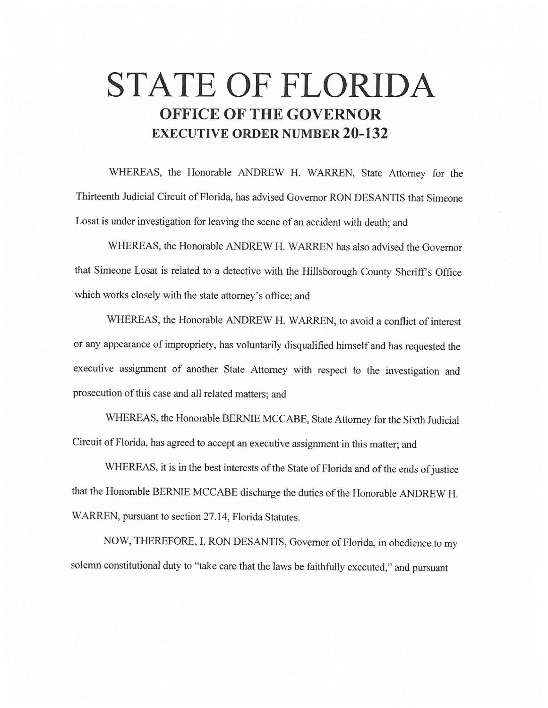# **STATE OF FLORIDA OFFICE OF THE GOVERNOR EXECUTIVE ORDER NUMBER 20-132**

WHEREAS, the Honorable ANDREW H. WARREN, State Attorney for the Thirteenth Judicial Circuit of Florida, has advised Governor RON DESANTIS that Simeone Losat is under investigation for leaving the scene of an accident with death; and

WHEREAS, the Honorable ANDREW H. WARREN has also advised the Governor that Simeone Losat is related to a detective with the Hillsborough County Sheriff's Office which works closely with the state attorney's office; and

WHEREAS, the Honorable ANDREW H. WARREN, to avoid a conflict of interest or any appearance of impropriety, has voluntarily disqualified himself and has requested the executive assignment of another State Attorney with respect to the investigation and prosecution of this case and all related matters; and

WHEREAS, the Honorable BERNIE MCCABE, State Attorney for the Sixth Judicial Circuit of Florida, has agreed to accept an executive assignment in this matter; and

WHEREAS, it is in the best interests of the State of Florida and of the ends of justice that the Honorable BERNIE MCCABE discharge the duties of the Honorable ANDREW H. WARREN, pursuant to section 27.14, Florida Statutes.

NOW, THEREFORE, I, RON DESANTIS, Governor of Florida, in obedience to my solemn constitutional duty to ''take care that the laws be faithfully executed," and pursuant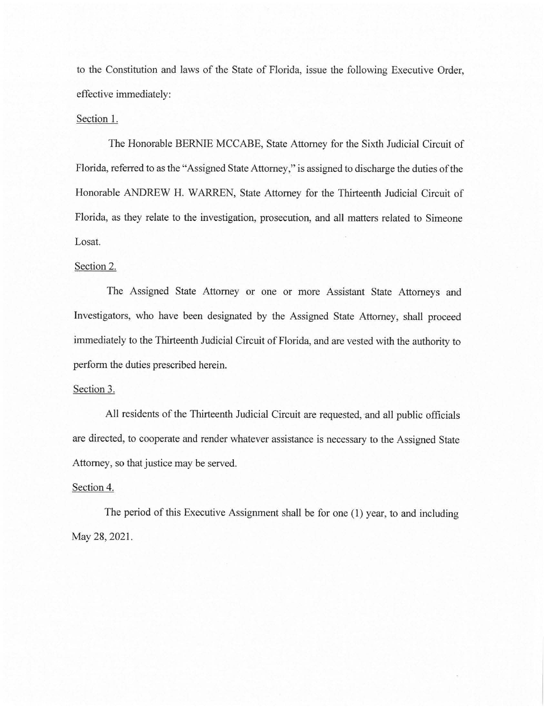to the Constitution and laws of the State of Florida, issue the following Executive Order, effective immediately:

## Section 1.

The Honorable BERNIE MCCABE, State Attorney for the Sixth Judicial Circuit of Florida, referred to as the "Assigned State Attorney," is assigned to discharge the duties of the Honorable ANDREW H. WARREN, State Attorney for the Thirteenth Judicial Circuit of Florida, as they relate to the investigation, prosecution, and all matters related to Simeone Losat.

# Section 2.

The Assigned State Attorney or one or more Assistant State Attorneys and Investigators, who have been designated by the Assigned State Attorney, shall proceed immediately to the Thirteenth Judicial Circuit of Florida, and are vested with the authority to perform the duties prescribed herein.

## Section 3.

All residents of the Thirteenth Judicial Circuit are requested, and all public officials are directed, to cooperate and render whatever assistance is necessary to the Assigned State Attorney, so that justice may be served.

#### Section 4.

The period of this Executive Assignment shall be for one (1) year, to and including May 28, 2021.